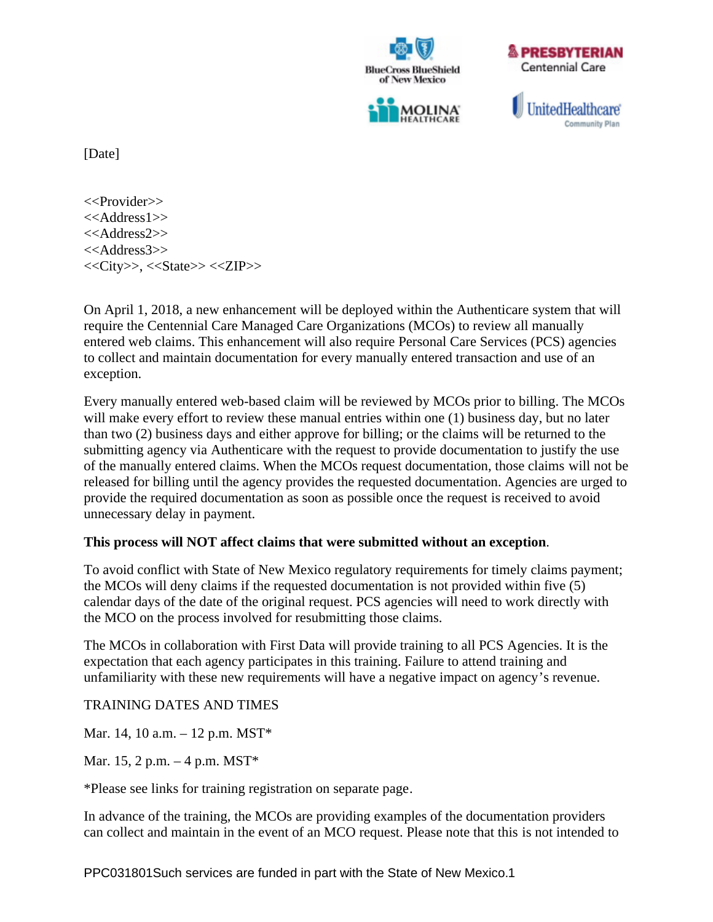





UnitedHealthcare **Community Plan** 

[Date]

<<Provider>> <<Address1>> <<Address2>> <<Address3>>  $<>, <> <>$ 

On April 1, 2018, a new enhancement will be deployed within the Authenticare system that will require the Centennial Care Managed Care Organizations (MCOs) to review all manually entered web claims. This enhancement will also require Personal Care Services (PCS) agencies to collect and maintain documentation for every manually entered transaction and use of an exception.

Every manually entered web-based claim will be reviewed by MCOs prior to billing. The MCOs will make every effort to review these manual entries within one (1) business day, but no later than two (2) business days and either approve for billing; or the claims will be returned to the submitting agency via Authenticare with the request to provide documentation to justify the use of the manually entered claims. When the MCOs request documentation, those claims will not be released for billing until the agency provides the requested documentation. Agencies are urged to provide the required documentation as soon as possible once the request is received to avoid unnecessary delay in payment.

## **This process will NOT affect claims that were submitted without an exception**.

To avoid conflict with State of New Mexico regulatory requirements for timely claims payment; the MCOs will deny claims if the requested documentation is not provided within five (5) calendar days of the date of the original request. PCS agencies will need to work directly with the MCO on the process involved for resubmitting those claims.

The MCOs in collaboration with First Data will provide training to all PCS Agencies. It is the expectation that each agency participates in this training. Failure to attend training and unfamiliarity with these new requirements will have a negative impact on agency's revenue.

TRAINING DATES AND TIMES

Mar. 14, 10 a.m. – 12 p.m. MST\*

Mar. 15, 2 p.m. – 4 p.m. MST\*

\*Please see links for training registration on separate page.

In advance of the training, the MCOs are providing examples of the documentation providers can collect and maintain in the event of an MCO request. Please note that this is not intended to

PPC031801Such services are funded in part with the State of New Mexico.1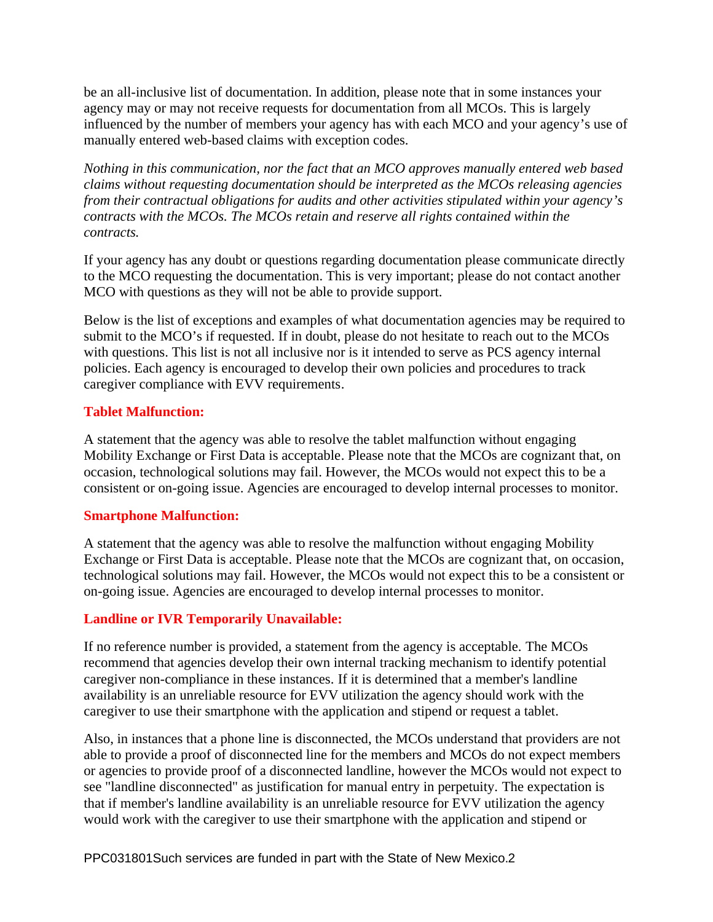be an all-inclusive list of documentation. In addition, please note that in some instances your agency may or may not receive requests for documentation from all MCOs. This is largely influenced by the number of members your agency has with each MCO and your agency's use of manually entered web-based claims with exception codes.

*Nothing in this communication, nor the fact that an MCO approves manually entered web based claims without requesting documentation should be interpreted as the MCOs releasing agencies from their contractual obligations for audits and other activities stipulated within your agency's contracts with the MCOs. The MCOs retain and reserve all rights contained within the contracts.* 

If your agency has any doubt or questions regarding documentation please communicate directly to the MCO requesting the documentation. This is very important; please do not contact another MCO with questions as they will not be able to provide support.

Below is the list of exceptions and examples of what documentation agencies may be required to submit to the MCO's if requested. If in doubt, please do not hesitate to reach out to the MCOs with questions. This list is not all inclusive nor is it intended to serve as PCS agency internal policies. Each agency is encouraged to develop their own policies and procedures to track caregiver compliance with EVV requirements.

## **Tablet Malfunction:**

A statement that the agency was able to resolve the tablet malfunction without engaging Mobility Exchange or First Data is acceptable. Please note that the MCOs are cognizant that, on occasion, technological solutions may fail. However, the MCOs would not expect this to be a consistent or on-going issue. Agencies are encouraged to develop internal processes to monitor.

## **Smartphone Malfunction:**

A statement that the agency was able to resolve the malfunction without engaging Mobility Exchange or First Data is acceptable. Please note that the MCOs are cognizant that, on occasion, technological solutions may fail. However, the MCOs would not expect this to be a consistent or on-going issue. Agencies are encouraged to develop internal processes to monitor.

#### **Landline or IVR Temporarily Unavailable:**

If no reference number is provided, a statement from the agency is acceptable. The MCOs recommend that agencies develop their own internal tracking mechanism to identify potential caregiver non-compliance in these instances. If it is determined that a member's landline availability is an unreliable resource for EVV utilization the agency should work with the caregiver to use their smartphone with the application and stipend or request a tablet.

Also, in instances that a phone line is disconnected, the MCOs understand that providers are not able to provide a proof of disconnected line for the members and MCOs do not expect members or agencies to provide proof of a disconnected landline, however the MCOs would not expect to see "landline disconnected" as justification for manual entry in perpetuity. The expectation is that if member's landline availability is an unreliable resource for EVV utilization the agency would work with the caregiver to use their smartphone with the application and stipend or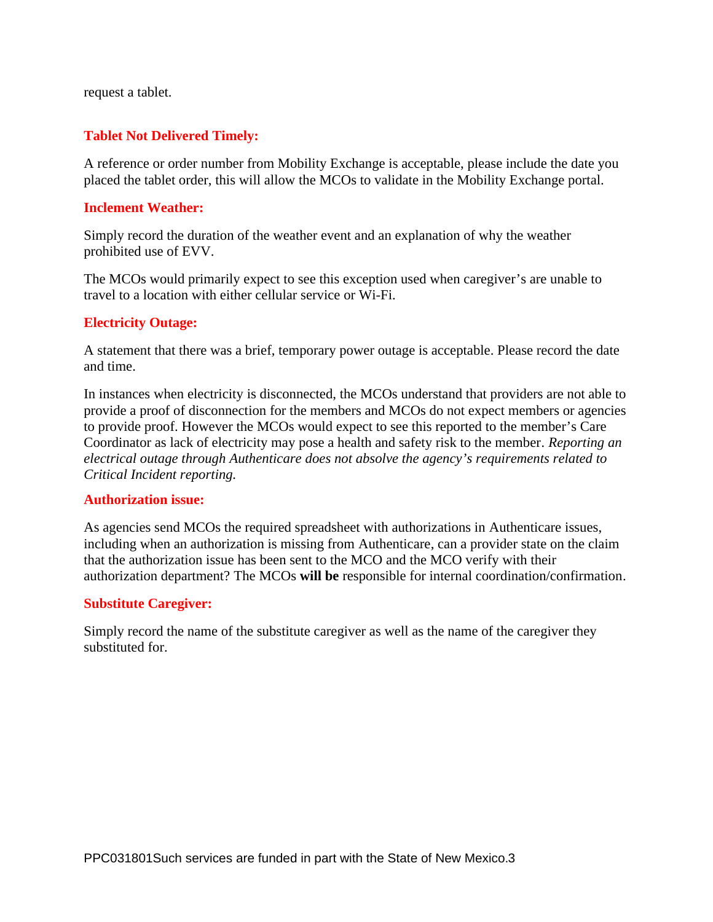request a tablet.

## **Tablet Not Delivered Timely:**

A reference or order number from Mobility Exchange is acceptable, please include the date you placed the tablet order, this will allow the MCOs to validate in the Mobility Exchange portal.

#### **Inclement Weather:**

Simply record the duration of the weather event and an explanation of why the weather prohibited use of EVV.

The MCOs would primarily expect to see this exception used when caregiver's are unable to travel to a location with either cellular service or Wi-Fi.

## **Electricity Outage:**

A statement that there was a brief, temporary power outage is acceptable. Please record the date and time.

In instances when electricity is disconnected, the MCOs understand that providers are not able to provide a proof of disconnection for the members and MCOs do not expect members or agencies to provide proof. However the MCOs would expect to see this reported to the member's Care Coordinator as lack of electricity may pose a health and safety risk to the member*. Reporting an electrical outage through Authenticare does not absolve the agency's requirements related to Critical Incident reporting.*

#### **Authorization issue:**

As agencies send MCOs the required spreadsheet with authorizations in Authenticare issues, including when an authorization is missing from Authenticare, can a provider state on the claim that the authorization issue has been sent to the MCO and the MCO verify with their authorization department? The MCOs **will be** responsible for internal coordination/confirmation.

#### **Substitute Caregiver:**

Simply record the name of the substitute caregiver as well as the name of the caregiver they substituted for.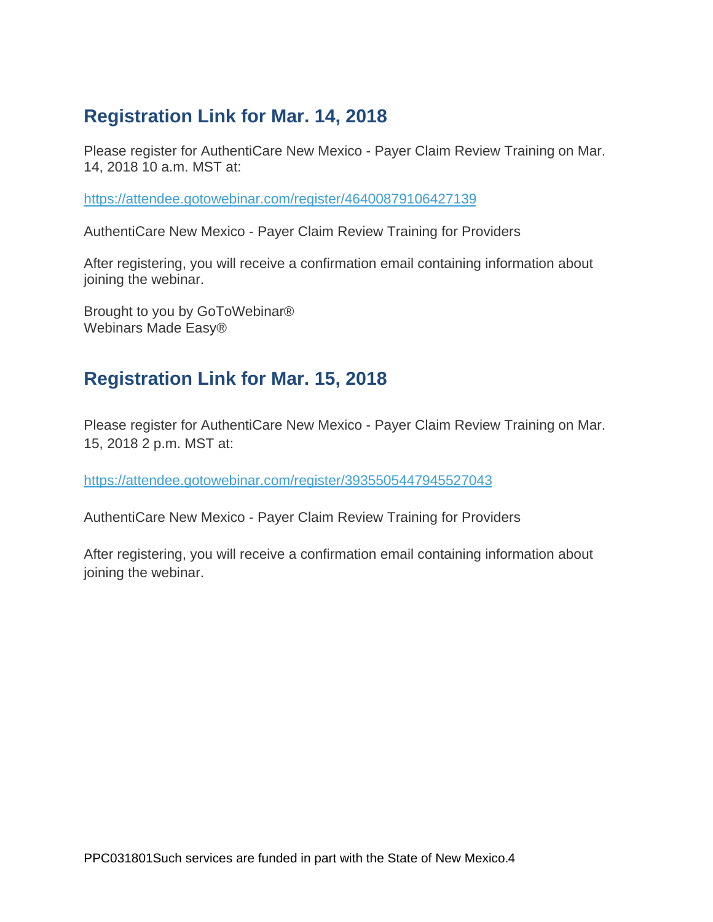# **Registration Link for Mar. 14, 2018**

Please register for AuthentiCare New Mexico - Payer Claim Review Training on Mar. 14, 2018 10 a.m. MST at:

<https://attendee.gotowebinar.com/register/46400879106427139>

AuthentiCare New Mexico - Payer Claim Review Training for Providers

After registering, you will receive a confirmation email containing information about joining the webinar.

Brought to you by GoToWebinar® Webinars Made Easy®

## **Registration Link for Mar. 15, 2018**

Please register for AuthentiCare New Mexico - Payer Claim Review Training on Mar. 15, 2018 2 p.m. MST at:

<https://attendee.gotowebinar.com/register/3935505447945527043>

AuthentiCare New Mexico - Payer Claim Review Training for Providers

After registering, you will receive a confirmation email containing information about joining the webinar.